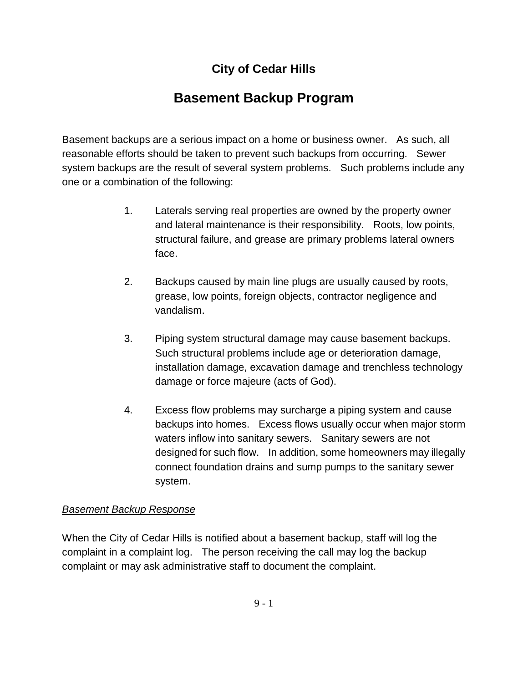### **City of Cedar Hills**

## **Basement Backup Program**

Basement backups are a serious impact on a home or business owner. As such, all reasonable efforts should be taken to prevent such backups from occurring. Sewer system backups are the result of several system problems. Such problems include any one or a combination of the following:

- 1. Laterals serving real properties are owned by the property owner and lateral maintenance is their responsibility. Roots, low points, structural failure, and grease are primary problems lateral owners face.
- 2. Backups caused by main line plugs are usually caused by roots, grease, low points, foreign objects, contractor negligence and vandalism.
- 3. Piping system structural damage may cause basement backups. Such structural problems include age or deterioration damage, installation damage, excavation damage and trenchless technology damage or force majeure (acts of God).
- 4. Excess flow problems may surcharge a piping system and cause backups into homes. Excess flows usually occur when major storm waters inflow into sanitary sewers. Sanitary sewers are not designed for such flow. In addition, some homeowners may illegally connect foundation drains and sump pumps to the sanitary sewer system.

#### *Basement Backup Response*

When the City of Cedar Hills is notified about a basement backup, staff will log the complaint in a complaint log. The person receiving the call may log the backup complaint or may ask administrative staff to document the complaint.